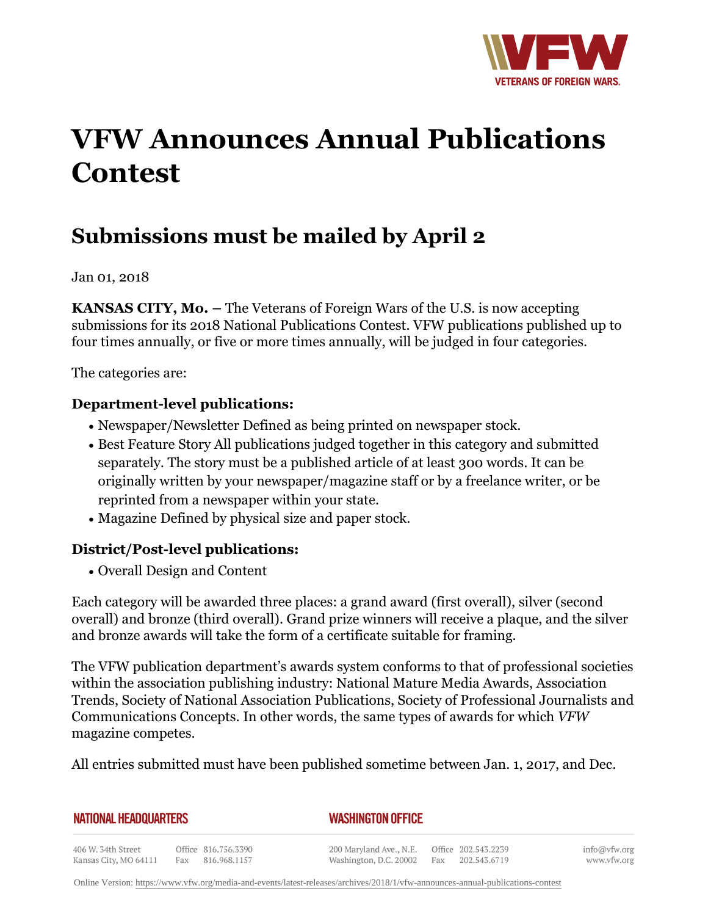

# **VFW Announces Annual Publications Contest**

# **Submissions must be mailed by April 2**

Jan 01, 2018

**KANSAS CITY, Mo.** – The Veterans of Foreign Wars of the U.S. is now accepting submissions for its 2018 National Publications Contest. VFW publications published up to four times annually, or five or more times annually, will be judged in four categories.

The categories are:

### **Department-level publications:**

- Newspaper/Newsletter Defined as being printed on newspaper stock.
- Best Feature Story All publications judged together in this category and submitted separately. The story must be a published article of at least 300 words. It can be originally written by your newspaper/magazine staff or by a freelance writer, or be reprinted from a newspaper within your state.
- Magazine Defined by physical size and paper stock.

## **District/Post-level publications:**

• Overall Design and Content

Each category will be awarded three places: a grand award (first overall), silver (second overall) and bronze (third overall). Grand prize winners will receive a plaque, and the silver and bronze awards will take the form of a certificate suitable for framing.

The VFW publication department's awards system conforms to that of professional societies within the association publishing industry: National Mature Media Awards, Association Trends, Society of National Association Publications, Society of Professional Journalists and Communications Concepts. In other words, the same types of awards for which *VFW* magazine competes.

All entries submitted must have been published sometime between Jan. 1, 2017, and Dec.

**NATIONAL HEADQUARTERS** 

#### *WASHINGTON OFFICE*

406 W. 34th Street Office 816.756.3390 Fax 816.968.1157 Kansas City, MO 64111

200 Maryland Ave., N.E. Washington, D.C. 20002

Office 202.543.2239 Fax 202.543.6719

info@vfw.org www.vfw.org

Online Version:<https://www.vfw.org/media-and-events/latest-releases/archives/2018/1/vfw-announces-annual-publications-contest>